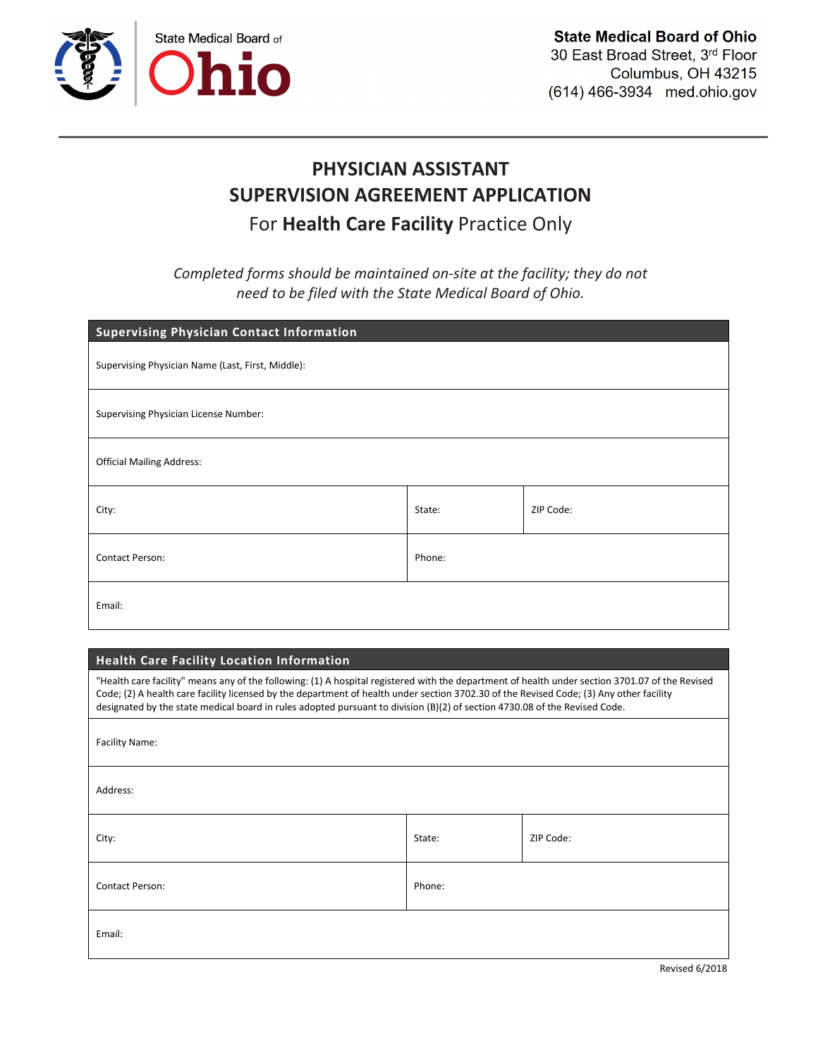

# PHYSICIAN ASSISTANT SUPERVISION AGREEMENT APPLICATION For **Health Care Facility** Practice Only

*Completed forms should be maintained on-site at the facility; they do not need to be filed with the State Medical Board of Ohio.*

| <b>Supervising Physician Contact Information</b>  |        |           |
|---------------------------------------------------|--------|-----------|
| Supervising Physician Name (Last, First, Middle): |        |           |
| Supervising Physician License Number:             |        |           |
| <b>Official Mailing Address:</b>                  |        |           |
| City:                                             | State: | ZIP Code: |
| Contact Person:                                   | Phone: |           |
| Email:                                            |        |           |

## Health Care Facility Location Information

"Health care facility" means any of the following: (1) A hospital registered with the department of health under section 3701.07 of the Revised Code; (2) A health care facility licensed by the department of health under section 3702.30 of the Revised Code; (3) Any other facility designated by the state medical board in rules adopted pursuant to division (B)(2) of section 4730.08 of the Revised Code.

| Facility Name:  |        |           |
|-----------------|--------|-----------|
| Address:        |        |           |
| City:           | State: | ZIP Code: |
| Contact Person: | Phone: |           |
| Email:          |        |           |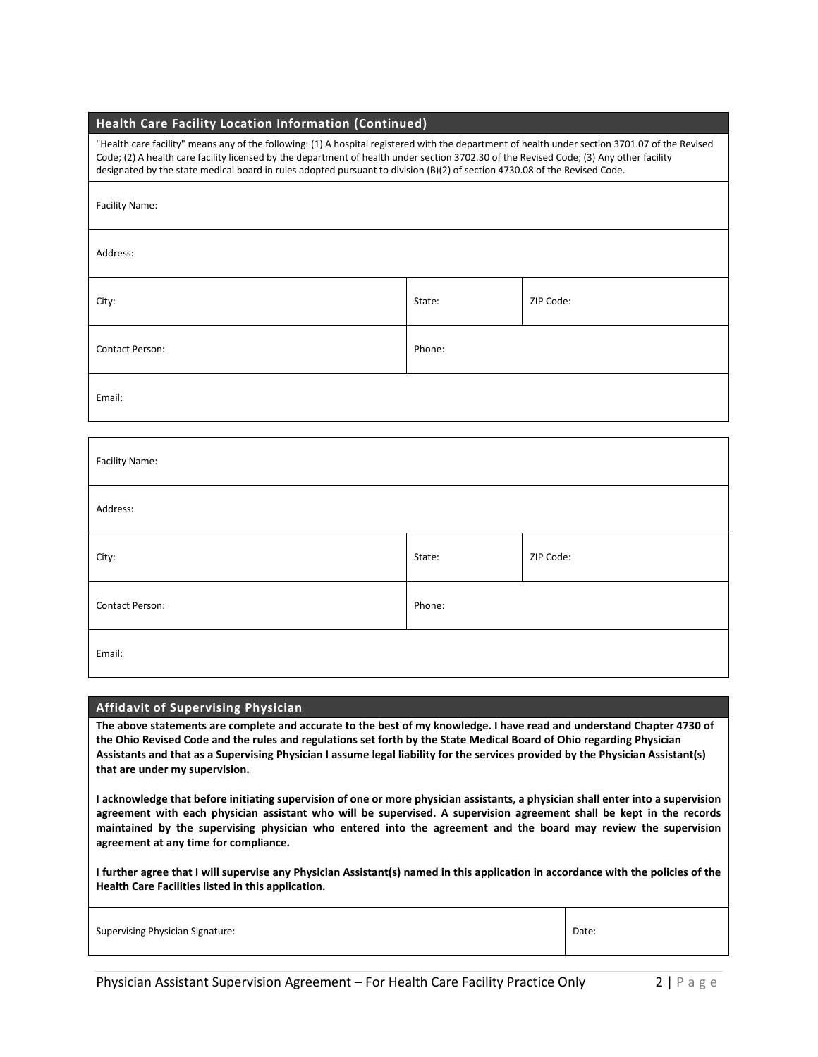| "Health care facility" means any of the following: (1) A hospital registered with the department of health under section 3701.07 of the<br>Code; (2) A health care facility licensed by the department of health under section 3702.30 of the Revised Code; (3) Any other facility<br>designated by the state medical board in rules adopted pursuant to division (B)(2) of section 4730.08 of the Revised Code. |        |           |
|------------------------------------------------------------------------------------------------------------------------------------------------------------------------------------------------------------------------------------------------------------------------------------------------------------------------------------------------------------------------------------------------------------------|--------|-----------|
| <b>Facility Name:</b>                                                                                                                                                                                                                                                                                                                                                                                            |        |           |
| Address:                                                                                                                                                                                                                                                                                                                                                                                                         |        |           |
| City:                                                                                                                                                                                                                                                                                                                                                                                                            | State: | ZIP Code: |
| <b>Contact Person:</b>                                                                                                                                                                                                                                                                                                                                                                                           | Phone: |           |
|                                                                                                                                                                                                                                                                                                                                                                                                                  |        |           |

Health Care Facility Location Information (Continued)

Email:

| Facility Name:  |        |           |
|-----------------|--------|-----------|
| Address:        |        |           |
| City:           | State: | ZIP Code: |
| Contact Person: | Phone: |           |
| Email:          |        |           |

#### Affidavit of Supervising Physician

The above statements are complete and accurate to the best of my knowledge. I have read and understand Chapter 4730 of the Ohio Revised Code and the rules and regulations set forth by the State Medical Board of Ohio regarding Physician Assistants and that as a Supervising Physician I assume legal liability for the services provided by the Physician Assistant(s) that are under my supervision.

I acknowledge that before initiating supervision of one or more physician assistants, a physician shall enter into a supervision agreement with each physician assistant who will be supervised. A supervision agreement shall be kept in the records maintained by the supervising physician who entered into the agreement and the board may review the supervision agreement at any time for compliance.

I further agree that I will supervise any Physician Assistant(s) named in this application in accordance with the policies of the Health Care Facilities listed in this application.

| Supervising Physician Signature: | Date: |
|----------------------------------|-------|
|----------------------------------|-------|

3701.07 of the Revised